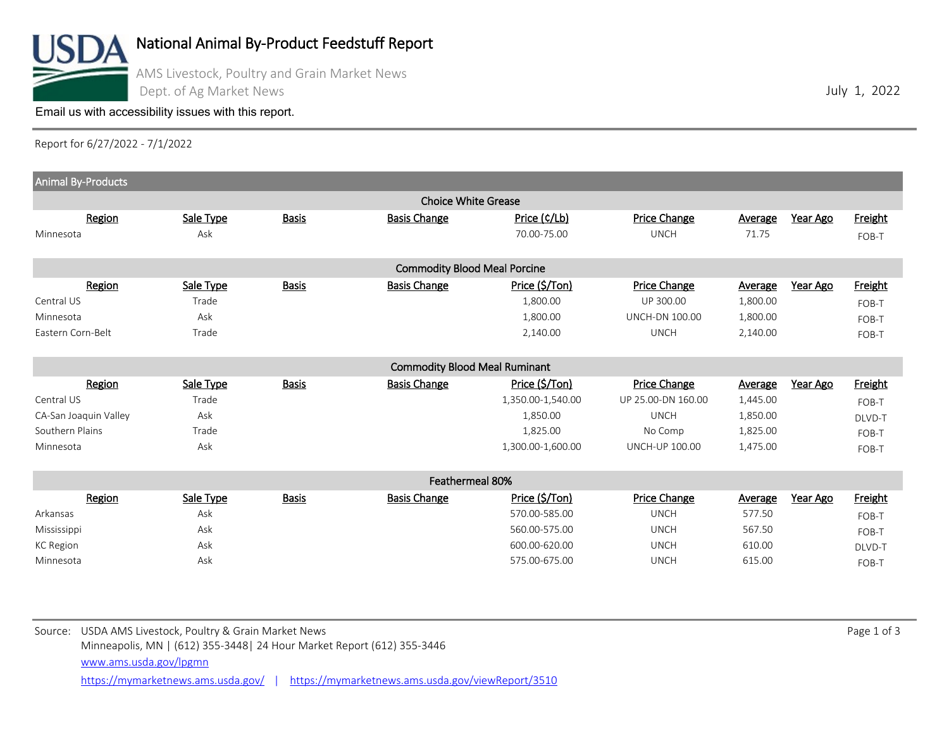

## National Animal By-Product Feedstuff Report

AMS Livestock, Poultry and Grain Market News Dept. of Ag Market News

[Email us with accessibility issues with this report.](mailto:mars@ams.usda.gov?subjectNot%20able%20to%20access%20video%20auction%20report)

Report for 6/27/2022 - 7/1/2022

| Animal By-Products                  |           |              |                                      |                   |                       |                |          |                |  |
|-------------------------------------|-----------|--------------|--------------------------------------|-------------------|-----------------------|----------------|----------|----------------|--|
| <b>Choice White Grease</b>          |           |              |                                      |                   |                       |                |          |                |  |
| Region                              | Sale Type | <b>Basis</b> | <b>Basis Change</b>                  | Price (C/Lb)      | Price Change          | <b>Average</b> | Year Ago | <b>Freight</b> |  |
| Minnesota                           | Ask       |              |                                      | 70.00-75.00       | <b>UNCH</b>           | 71.75          |          | FOB-T          |  |
| <b>Commodity Blood Meal Porcine</b> |           |              |                                      |                   |                       |                |          |                |  |
| Region                              | Sale Type | <b>Basis</b> | <b>Basis Change</b>                  | Price (\$/Ton)    | Price Change          | Average        | Year Ago | <b>Freight</b> |  |
| Central US                          | Trade     |              |                                      | 1,800.00          | UP 300.00             | 1,800.00       |          | FOB-T          |  |
| Minnesota                           | Ask       |              |                                      | 1,800.00          | <b>UNCH-DN 100.00</b> | 1,800.00       |          | FOB-T          |  |
| Eastern Corn-Belt                   | Trade     |              |                                      | 2,140.00          | <b>UNCH</b>           | 2,140.00       |          | FOB-T          |  |
|                                     |           |              |                                      |                   |                       |                |          |                |  |
|                                     |           |              | <b>Commodity Blood Meal Ruminant</b> |                   |                       |                |          |                |  |
| Region                              | Sale Type | <b>Basis</b> | <b>Basis Change</b>                  | Price (\$/Ton)    | Price Change          | Average        | Year Ago | Freight        |  |
| Central US                          | Trade     |              |                                      | 1,350.00-1,540.00 | UP 25.00-DN 160.00    | 1,445.00       |          | FOB-T          |  |
| CA-San Joaquin Valley               | Ask       |              |                                      | 1,850.00          | <b>UNCH</b>           | 1,850.00       |          | DLVD-T         |  |
| Southern Plains                     | Trade     |              |                                      | 1,825.00          | No Comp               | 1,825.00       |          | FOB-T          |  |
| Minnesota                           | Ask       |              |                                      | 1,300.00-1,600.00 | <b>UNCH-UP 100.00</b> | 1,475.00       |          | FOB-T          |  |
|                                     |           |              |                                      |                   |                       |                |          |                |  |
| Feathermeal 80%                     |           |              |                                      |                   |                       |                |          |                |  |
| Region                              | Sale Type | <b>Basis</b> | <b>Basis Change</b>                  | Price (\$/Ton)    | Price Change          | Average        | Year Ago | Freight        |  |
| Arkansas                            | Ask       |              |                                      | 570.00-585.00     | <b>UNCH</b>           | 577.50         |          | FOB-T          |  |
| Mississippi                         | Ask       |              |                                      | 560.00-575.00     | <b>UNCH</b>           | 567.50         |          | FOB-T          |  |
| <b>KC</b> Region                    | Ask       |              |                                      | 600.00-620.00     | <b>UNCH</b>           | 610.00         |          | DLVD-T         |  |
| Minnesota                           | Ask       |              |                                      | 575.00-675.00     | <b>UNCH</b>           | 615.00         |          | FOB-T          |  |
|                                     |           |              |                                      |                   |                       |                |          |                |  |
|                                     |           |              |                                      |                   |                       |                |          |                |  |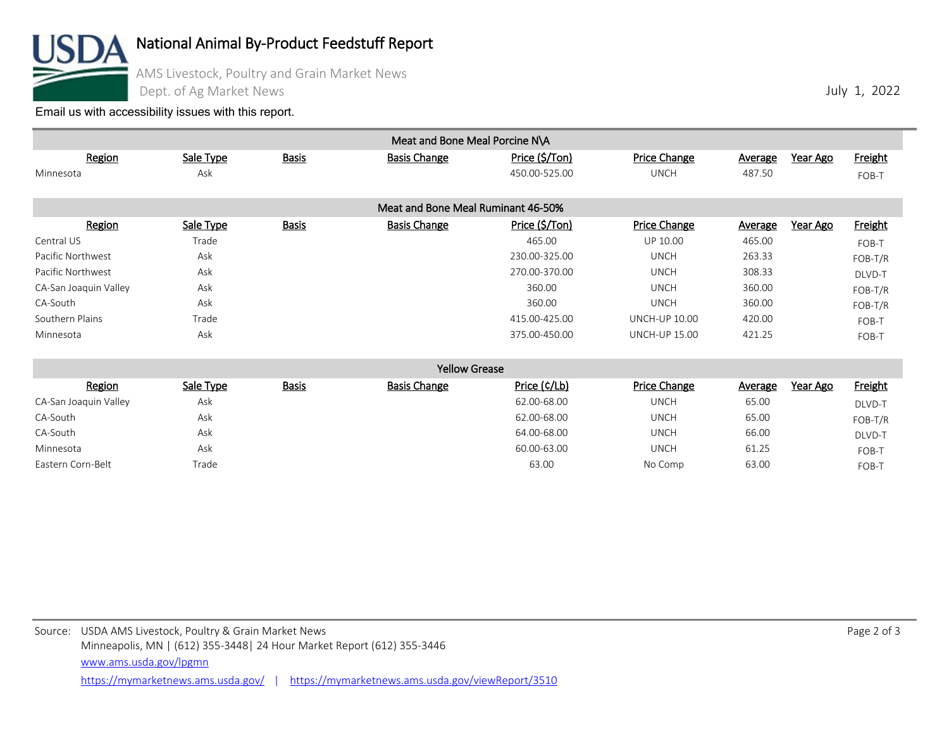

National Animal By-Product Feedstuff Report

AMS Livestock, Poultry and Grain Market News

Dept. of Ag Market News

[Email us with accessibility issues with this report.](mailto:mars@ams.usda.gov?subjectNot%20able%20to%20access%20video%20auction%20report)

| Region<br>Minnesota   | Sale Type<br>Ask | <b>Basis</b> | <b>Basis Change</b>                | Price (\$/Ton)<br>450.00-525.00 | Price Change<br><b>UNCH</b> | <b>Average</b><br>487.50 | Year Ago | <b>Freight</b> |
|-----------------------|------------------|--------------|------------------------------------|---------------------------------|-----------------------------|--------------------------|----------|----------------|
|                       |                  |              |                                    |                                 |                             |                          |          | FOB-T          |
|                       |                  |              | Meat and Bone Meal Ruminant 46-50% |                                 |                             |                          |          |                |
| Region                | Sale Type        | <b>Basis</b> | <b>Basis Change</b>                | Price (\$/Ton)                  | <b>Price Change</b>         | <b>Average</b>           | Year Ago | Freight        |
| Central US            | Trade            |              |                                    | 465.00                          | UP 10.00                    | 465.00                   |          | FOB-T          |
| Pacific Northwest     | Ask              |              |                                    | 230.00-325.00                   | <b>UNCH</b>                 | 263.33                   |          | FOB-T/R        |
| Pacific Northwest     | Ask              |              |                                    | 270.00-370.00                   | <b>UNCH</b>                 | 308.33                   |          | DLVD-T         |
| CA-San Joaquin Valley | Ask              |              |                                    | 360.00                          | <b>UNCH</b>                 | 360.00                   |          | FOB-T/R        |
| CA-South              | Ask              |              |                                    | 360.00                          | <b>UNCH</b>                 | 360.00                   |          | FOB-T/R        |
| Southern Plains       | Trade            |              |                                    | 415.00-425.00                   | <b>UNCH-UP 10.00</b>        | 420.00                   |          | FOB-T          |
| Minnesota             | Ask              |              |                                    | 375.00-450.00                   | <b>UNCH-UP 15.00</b>        | 421.25                   |          | FOB-T          |
|                       |                  |              | <b>Yellow Grease</b>               |                                 |                             |                          |          |                |
| Region                | Sale Type        | <b>Basis</b> | <b>Basis Change</b>                | Price (¢/Lb)                    | Price Change                | <b>Average</b>           | Year Ago | Freight        |

Meat and Bone Meal Porcine N\A

| RERIOU                | Sale Type | <u>DdSIS</u> | <b>DASIS CHAIRE</b> | Price (V/LD) | Price Change | AVEI de C<br>Tedi Agu | <u>rieigilt</u> |
|-----------------------|-----------|--------------|---------------------|--------------|--------------|-----------------------|-----------------|
| CA-San Joaquin Valley | Ask       |              |                     | 62.00-68.00  | UNCH         | 65.00                 | DLVD-T          |
| CA-South              | Ask       |              |                     | 62.00-68.00  | UNCH         | 65.00                 | FOB-T/R         |
| CA-South              | Ask       |              |                     | 64.00-68.00  | UNCH         | 66.00                 | DLVD-T          |
| Minnesota             | Ask       |              |                     | 60.00-63.00  | UNCH         | 61.25                 | FOB-T           |
| Eastern Corn-Belt     | Trade     |              |                     | 63.00        | No Comp      | 63.00                 | FOB-T           |